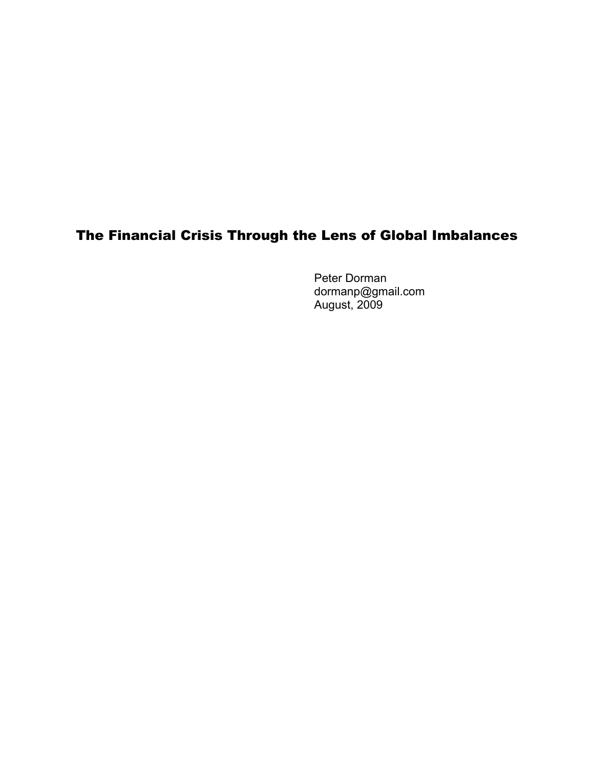# The Financial Crisis Through the Lens of Global Imbalances

Peter Dorman dormanp@gmail.com August, 2009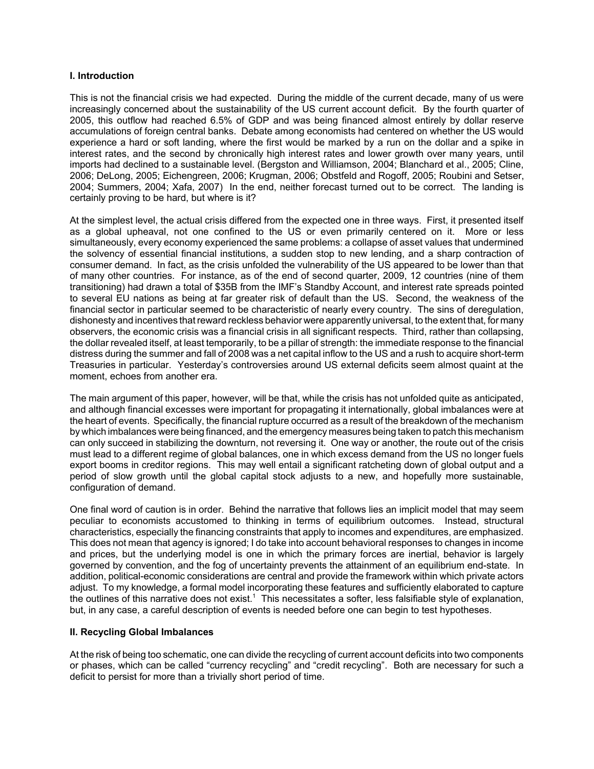# **I. Introduction**

This is not the financial crisis we had expected. During the middle of the current decade, many of us were increasingly concerned about the sustainability of the US current account deficit. By the fourth quarter of 2005, this outflow had reached 6.5% of GDP and was being financed almost entirely by dollar reserve accumulations of foreign central banks. Debate among economists had centered on whether the US would experience a hard or soft landing, where the first would be marked by a run on the dollar and a spike in interest rates, and the second by chronically high interest rates and lower growth over many years, until imports had declined to a sustainable level. (Bergston and Williamson, 2004; Blanchard et al., 2005; Cline, 2006; DeLong, 2005; Eichengreen, 2006; Krugman, 2006; Obstfeld and Rogoff, 2005; Roubini and Setser, 2004; Summers, 2004; Xafa, 2007) In the end, neither forecast turned out to be correct. The landing is certainly proving to be hard, but where is it?

At the simplest level, the actual crisis differed from the expected one in three ways. First, it presented itself as a global upheaval, not one confined to the US or even primarily centered on it. More or less simultaneously, every economy experienced the same problems: a collapse of asset values that undermined the solvency of essential financial institutions, a sudden stop to new lending, and a sharp contraction of consumer demand. In fact, as the crisis unfolded the vulnerability of the US appeared to be lower than that of many other countries. For instance, as of the end of second quarter, 2009, 12 countries (nine of them transitioning) had drawn a total of \$35B from the IMF's Standby Account, and interest rate spreads pointed to several EU nations as being at far greater risk of default than the US. Second, the weakness of the financial sector in particular seemed to be characteristic of nearly every country. The sins of deregulation, dishonesty and incentives that reward reckless behavior were apparently universal, to the extent that, for many observers, the economic crisis was a financial crisis in all significant respects. Third, rather than collapsing, the dollar revealed itself, at least temporarily, to be a pillar of strength: the immediate response to the financial distress during the summer and fall of 2008 was a net capital inflow to the US and a rush to acquire short-term Treasuries in particular. Yesterday's controversies around US external deficits seem almost quaint at the moment, echoes from another era.

The main argument of this paper, however, will be that, while the crisis has not unfolded quite as anticipated, and although financial excesses were important for propagating it internationally, global imbalances were at the heart of events. Specifically, the financial rupture occurred as a result of the breakdown of the mechanism by which imbalances were being financed, and the emergency measures being taken to patch this mechanism can only succeed in stabilizing the downturn, not reversing it. One way or another, the route out of the crisis must lead to a different regime of global balances, one in which excess demand from the US no longer fuels export booms in creditor regions. This may well entail a significant ratcheting down of global output and a period of slow growth until the global capital stock adjusts to a new, and hopefully more sustainable, configuration of demand.

One final word of caution is in order. Behind the narrative that follows lies an implicit model that may seem peculiar to economists accustomed to thinking in terms of equilibrium outcomes. Instead, structural characteristics, especially the financing constraints that apply to incomes and expenditures, are emphasized. This does not mean that agency is ignored; I do take into account behavioral responses to changes in income and prices, but the underlying model is one in which the primary forces are inertial, behavior is largely governed by convention, and the fog of uncertainty prevents the attainment of an equilibrium end-state. In addition, political-economic considerations are central and provide the framework within which private actors adjust. To my knowledge, a formal model incorporating these features and sufficiently elaborated to capture the outlines of this narrative does not exist.<sup>1</sup> This necessitates a softer, less falsifiable style of explanation, but, in any case, a careful description of events is needed before one can begin to test hypotheses.

# **II. Recycling Global Imbalances**

At the risk of being too schematic, one can divide the recycling of current account deficits into two components or phases, which can be called "currency recycling" and "credit recycling". Both are necessary for such a deficit to persist for more than a trivially short period of time.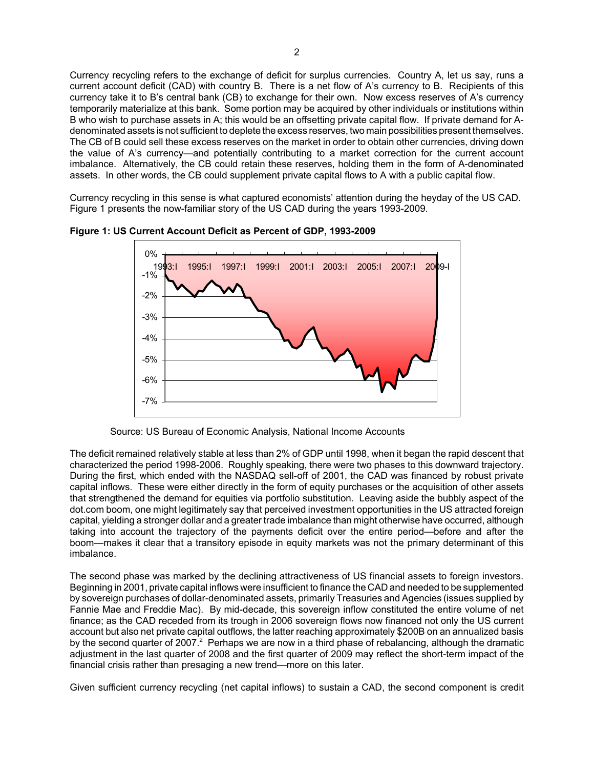Currency recycling refers to the exchange of deficit for surplus currencies. Country A, let us say, runs a current account deficit (CAD) with country B. There is a net flow of A's currency to B. Recipients of this currency take it to B's central bank (CB) to exchange for their own. Now excess reserves of A's currency temporarily materialize at this bank. Some portion may be acquired by other individuals or institutions within B who wish to purchase assets in A; this would be an offsetting private capital flow. If private demand for Adenominated assets is not sufficient to deplete the excess reserves, two main possibilities present themselves. The CB of B could sell these excess reserves on the market in order to obtain other currencies, driving down the value of A's currency—and potentially contributing to a market correction for the current account imbalance. Alternatively, the CB could retain these reserves, holding them in the form of A-denominated assets. In other words, the CB could supplement private capital flows to A with a public capital flow.

Currency recycling in this sense is what captured economists' attention during the heyday of the US CAD. Figure 1 presents the now-familiar story of the US CAD during the years 1993-2009.



**Figure 1: US Current Account Deficit as Percent of GDP, 1993-2009**

The deficit remained relatively stable at less than 2% of GDP until 1998, when it began the rapid descent that characterized the period 1998-2006. Roughly speaking, there were two phases to this downward trajectory. During the first, which ended with the NASDAQ sell-off of 2001, the CAD was financed by robust private capital inflows. These were either directly in the form of equity purchases or the acquisition of other assets that strengthened the demand for equities via portfolio substitution. Leaving aside the bubbly aspect of the dot.com boom, one might legitimately say that perceived investment opportunities in the US attracted foreign capital, yielding a stronger dollar and a greater trade imbalance than might otherwise have occurred, although taking into account the trajectory of the payments deficit over the entire period—before and after the boom—makes it clear that a transitory episode in equity markets was not the primary determinant of this imbalance.

The second phase was marked by the declining attractiveness of US financial assets to foreign investors. Beginning in 2001, private capital inflows were insufficient to finance the CAD and needed to be supplemented by sovereign purchases of dollar-denominated assets, primarily Treasuries and Agencies (issues supplied by Fannie Mae and Freddie Mac). By mid-decade, this sovereign inflow constituted the entire volume of net finance; as the CAD receded from its trough in 2006 sovereign flows now financed not only the US current account but also net private capital outflows, the latter reaching approximately \$200B on an annualized basis by the second quarter of 2007. $^2$  Perhaps we are now in a third phase of rebalancing, although the dramatic adjustment in the last quarter of 2008 and the first quarter of 2009 may reflect the short-term impact of the financial crisis rather than presaging a new trend—more on this later.

Given sufficient currency recycling (net capital inflows) to sustain a CAD, the second component is credit

Source: US Bureau of Economic Analysis, National Income Accounts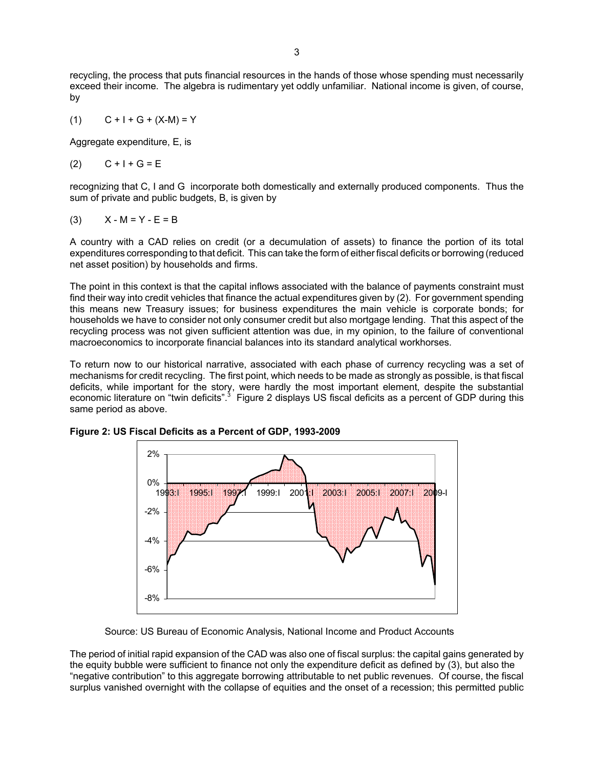recycling, the process that puts financial resources in the hands of those whose spending must necessarily exceed their income. The algebra is rudimentary yet oddly unfamiliar. National income is given, of course, by

(1) 
$$
C + I + G + (X-M) = Y
$$

Aggregate expenditure, E, is

$$
(2) \qquad C+1+G=E
$$

recognizing that C, I and G incorporate both domestically and externally produced components. Thus the sum of private and public budgets, B, is given by

(3) 
$$
X - M = Y - E = B
$$

A country with a CAD relies on credit (or a decumulation of assets) to finance the portion of its total expenditures corresponding to that deficit. This can take the form of either fiscal deficits or borrowing (reduced net asset position) by households and firms.

The point in this context is that the capital inflows associated with the balance of payments constraint must find their way into credit vehicles that finance the actual expenditures given by (2). For government spending this means new Treasury issues; for business expenditures the main vehicle is corporate bonds; for households we have to consider not only consumer credit but also mortgage lending. That this aspect of the recycling process was not given sufficient attention was due, in my opinion, to the failure of conventional macroeconomics to incorporate financial balances into its standard analytical workhorses.

To return now to our historical narrative, associated with each phase of currency recycling was a set of mechanisms for credit recycling. The first point, which needs to be made as strongly as possible, is that fiscal deficits, while important for the story, were hardly the most important element, despite the substantial economic literature on "twin deficits".<sup>3</sup> Figure 2 displays US fiscal deficits as a percent of GDP during this same period as above.



**Figure 2: US Fiscal Deficits as a Percent of GDP, 1993-2009**

Source: US Bureau of Economic Analysis, National Income and Product Accounts

The period of initial rapid expansion of the CAD was also one of fiscal surplus: the capital gains generated by the equity bubble were sufficient to finance not only the expenditure deficit as defined by (3), but also the "negative contribution" to this aggregate borrowing attributable to net public revenues. Of course, the fiscal surplus vanished overnight with the collapse of equities and the onset of a recession; this permitted public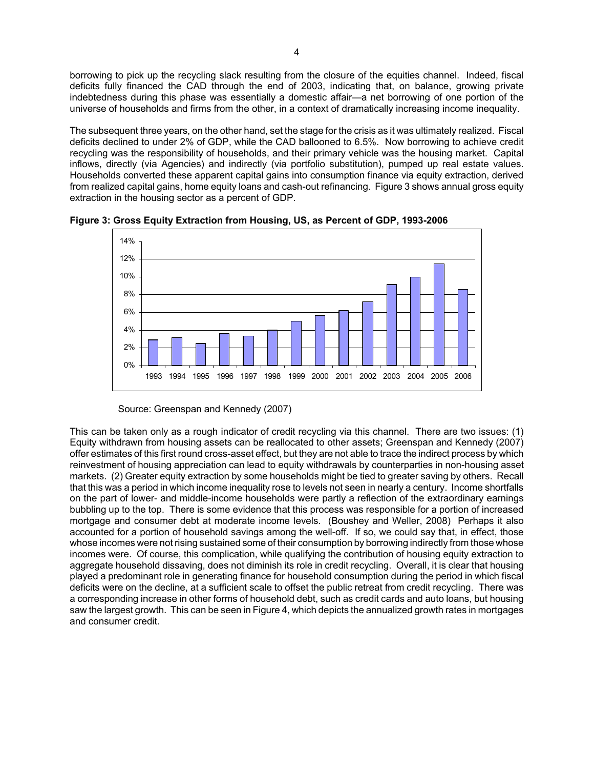borrowing to pick up the recycling slack resulting from the closure of the equities channel. Indeed, fiscal deficits fully financed the CAD through the end of 2003, indicating that, on balance, growing private indebtedness during this phase was essentially a domestic affair—a net borrowing of one portion of the universe of households and firms from the other, in a context of dramatically increasing income inequality.

The subsequent three years, on the other hand, set the stage for the crisis as it was ultimately realized. Fiscal deficits declined to under 2% of GDP, while the CAD ballooned to 6.5%. Now borrowing to achieve credit recycling was the responsibility of households, and their primary vehicle was the housing market. Capital inflows, directly (via Agencies) and indirectly (via portfolio substitution), pumped up real estate values. Households converted these apparent capital gains into consumption finance via equity extraction, derived from realized capital gains, home equity loans and cash-out refinancing. Figure 3 shows annual gross equity extraction in the housing sector as a percent of GDP.



**Figure 3: Gross Equity Extraction from Housing, US, as Percent of GDP, 1993-2006**

Source: Greenspan and Kennedy (2007)

This can be taken only as a rough indicator of credit recycling via this channel. There are two issues: (1) Equity withdrawn from housing assets can be reallocated to other assets; Greenspan and Kennedy (2007) offer estimates of this first round cross-asset effect, but they are not able to trace the indirect process by which reinvestment of housing appreciation can lead to equity withdrawals by counterparties in non-housing asset markets.(2) Greater equity extraction by some households might be tied to greater saving by others. Recall that this was a period in which income inequality rose to levels not seen in nearly a century. Income shortfalls on the part of lower- and middle-income households were partly a reflection of the extraordinary earnings bubbling up to the top. There is some evidence that this process was responsible for a portion of increased mortgage and consumer debt at moderate income levels. (Boushey and Weller, 2008) Perhaps it also accounted for a portion of household savings among the well-off. If so, we could say that, in effect, those whose incomes were not rising sustained some of their consumption by borrowing indirectly from those whose incomes were. Of course, this complication, while qualifying the contribution of housing equity extraction to aggregate household dissaving, does not diminish its role in credit recycling. Overall, it is clear that housing played a predominant role in generating finance for household consumption during the period in which fiscal deficits were on the decline, at a sufficient scale to offset the public retreat from credit recycling. There was a corresponding increase in other forms of household debt, such as credit cards and auto loans, but housing saw the largest growth.This can be seen in Figure 4, which depicts the annualized growth rates in mortgages and consumer credit.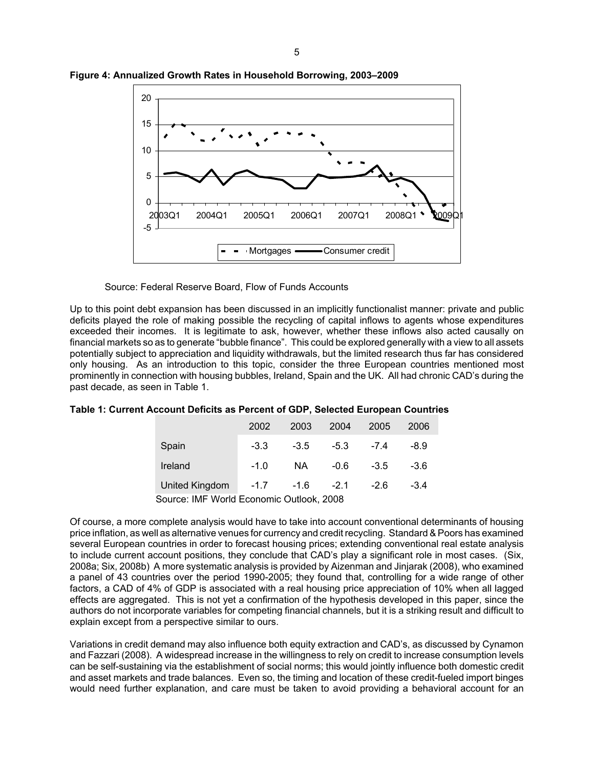

**Figure 4: Annualized Growth Rates in Household Borrowing, 2003–2009**

Source: Federal Reserve Board, Flow of Funds Accounts

Up to this point debt expansion has been discussed in an implicitly functionalist manner: private and public deficits played the role of making possible the recycling of capital inflows to agents whose expenditures exceeded their incomes. It is legitimate to ask, however, whether these inflows also acted causally on financial markets so as to generate "bubble finance". This could be explored generally with a view to all assets potentially subject to appreciation and liquidity withdrawals, but the limited research thus far has considered only housing. As an introduction to this topic, consider the three European countries mentioned most prominently in connection with housing bubbles, Ireland, Spain and the UK. All had chronic CAD's during the past decade, as seen in Table 1.

| Table 1: Current Account Deficits as Percent of GDP, Selected European Countries |  |  |
|----------------------------------------------------------------------------------|--|--|
|----------------------------------------------------------------------------------|--|--|

|                                          | 2002   | 2003          | 2004   | 2005   | 2006 |  |
|------------------------------------------|--------|---------------|--------|--------|------|--|
| Spain                                    | $-3.3$ | $-3.5$        | -5.3   | $-7.4$ | -8.9 |  |
| Ireland                                  | $-1.0$ | NA.           | $-0.6$ | $-3.5$ | -3.6 |  |
| United Kingdom                           | $-1.7$ | $-1.6$ $-2.1$ |        | -26    | -34  |  |
| Source: IMF World Economic Outlook, 2008 |        |               |        |        |      |  |

Of course, a more complete analysis would have to take into account conventional determinants of housing price inflation, as well as alternative venues for currency and credit recycling. Standard & Poors has examined several European countries in order to forecast housing prices; extending conventional real estate analysis to include current account positions, they conclude that CAD's play a significant role in most cases. (Six, 2008a; Six, 2008b) A more systematic analysis is provided by Aizenman and Jinjarak (2008), who examined a panel of 43 countries over the period 1990-2005; they found that, controlling for a wide range of other factors, a CAD of 4% of GDP is associated with a real housing price appreciation of 10% when all lagged effects are aggregated. This is not yet a confirmation of the hypothesis developed in this paper, since the authors do not incorporate variables for competing financial channels, but it is a striking result and difficult to explain except from a perspective similar to ours.

Variations in credit demand may also influence both equity extraction and CAD's, as discussed by Cynamon and Fazzari (2008). A widespread increase in the willingness to rely on credit to increase consumption levels can be self-sustaining via the establishment of social norms; this would jointly influence both domestic credit and asset markets and trade balances. Even so, the timing and location of these credit-fueled import binges would need further explanation, and care must be taken to avoid providing a behavioral account for an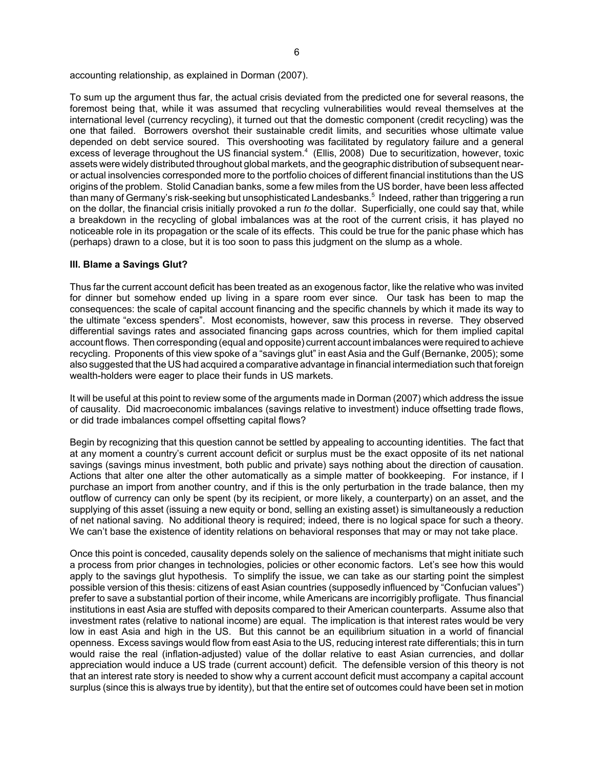accounting relationship, as explained in Dorman (2007).

To sum up the argument thus far, the actual crisis deviated from the predicted one for several reasons, the foremost being that, while it was assumed that recycling vulnerabilities would reveal themselves at the international level (currency recycling), it turned out that the domestic component (credit recycling) was the one that failed. Borrowers overshot their sustainable credit limits, and securities whose ultimate value depended on debt service soured. This overshooting was facilitated by regulatory failure and a general excess of leverage throughout the US financial system.<sup>4</sup> (Ellis, 2008) Due to securitization, however, toxic assets were widely distributed throughout global markets, and the geographic distribution of subsequent nearor actual insolvencies corresponded more to the portfolio choices of different financial institutions than the US origins of the problem. Stolid Canadian banks, some a few miles from the US border, have been less affected than many of Germany's risk-seeking but unsophisticated Landesbanks.<sup>5</sup> Indeed, rather than triggering a run on the dollar, the financial crisis initially provoked a run *to* the dollar. Superficially, one could say that, while a breakdown in the recycling of global imbalances was at the root of the current crisis, it has played no noticeable role in its propagation or the scale of its effects. This could be true for the panic phase which has (perhaps) drawn to a close, but it is too soon to pass this judgment on the slump as a whole.

# **III. Blame a Savings Glut?**

Thus far the current account deficit has been treated as an exogenous factor, like the relative who was invited for dinner but somehow ended up living in a spare room ever since. Our task has been to map the consequences: the scale of capital account financing and the specific channels by which it made its way to the ultimate "excess spenders". Most economists, however, saw this process in reverse. They observed differential savings rates and associated financing gaps across countries, which for them implied capital account flows. Then corresponding (equal and opposite) current account imbalances were required to achieve recycling. Proponents of this view spoke of a "savings glut" in east Asia and the Gulf (Bernanke, 2005); some also suggested that the US had acquired a comparative advantage in financial intermediation such that foreign wealth-holders were eager to place their funds in US markets.

It will be useful at this point to review some of the arguments made in Dorman (2007) which address the issue of causality. Did macroeconomic imbalances (savings relative to investment) induce offsetting trade flows, or did trade imbalances compel offsetting capital flows?

Begin by recognizing that this question cannot be settled by appealing to accounting identities. The fact that at any moment a country's current account deficit or surplus must be the exact opposite of its net national savings (savings minus investment, both public and private) says nothing about the direction of causation. Actions that alter one alter the other automatically as a simple matter of bookkeeping. For instance, if I purchase an import from another country, and if this is the only perturbation in the trade balance, then my outflow of currency can only be spent (by its recipient, or more likely, a counterparty) on an asset, and the supplying of this asset (issuing a new equity or bond, selling an existing asset) is simultaneously a reduction of net national saving. No additional theory is required; indeed, there is no logical space for such a theory. We can't base the existence of identity relations on behavioral responses that may or may not take place.

Once this point is conceded, causality depends solely on the salience of mechanisms that might initiate such a process from prior changes in technologies, policies or other economic factors. Let's see how this would apply to the savings glut hypothesis. To simplify the issue, we can take as our starting point the simplest possible version of this thesis: citizens of east Asian countries (supposedly influenced by "Confucian values") prefer to save a substantial portion of their income, while Americans are incorrigibly profligate. Thus financial institutions in east Asia are stuffed with deposits compared to their American counterparts. Assume also that investment rates (relative to national income) are equal. The implication is that interest rates would be very low in east Asia and high in the US. But this cannot be an equilibrium situation in a world of financial openness. Excess savings would flow from east Asia to the US, reducing interest rate differentials; this in turn would raise the real (inflation-adjusted) value of the dollar relative to east Asian currencies, and dollar appreciation would induce a US trade (current account) deficit. The defensible version of this theory is not that an interest rate story is needed to show why a current account deficit must accompany a capital account surplus (since this is always true by identity), but that the entire set of outcomes could have been set in motion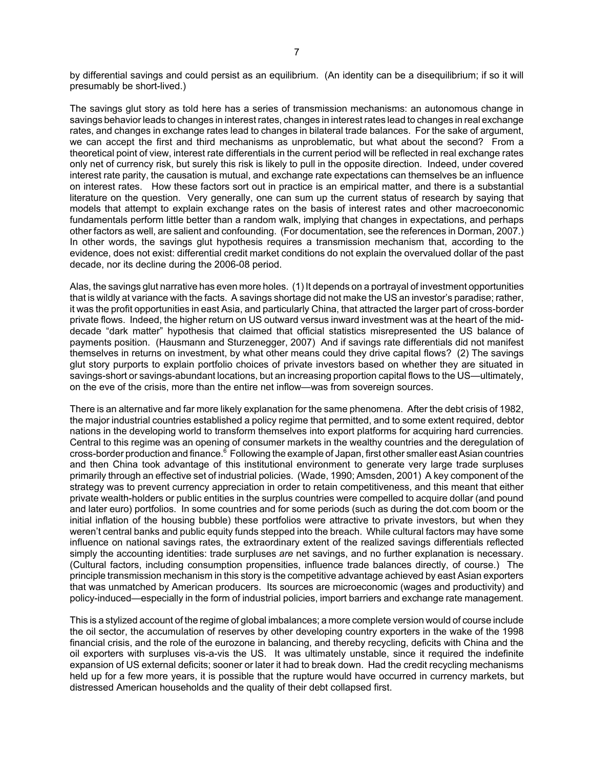by differential savings and could persist as an equilibrium. (An identity can be a disequilibrium; if so it will presumably be short-lived.)

The savings glut story as told here has a series of transmission mechanisms: an autonomous change in savings behavior leads to changes in interest rates, changes in interest rates lead to changes in real exchange rates, and changes in exchange rates lead to changes in bilateral trade balances. For the sake of argument, we can accept the first and third mechanisms as unproblematic, but what about the second? From a theoretical point of view, interest rate differentials in the current period will be reflected in real exchange rates only net of currency risk, but surely this risk is likely to pull in the opposite direction. Indeed, under covered interest rate parity, the causation is mutual, and exchange rate expectations can themselves be an influence on interest rates. How these factors sort out in practice is an empirical matter, and there is a substantial literature on the question. Very generally, one can sum up the current status of research by saying that models that attempt to explain exchange rates on the basis of interest rates and other macroeconomic fundamentals perform little better than a random walk, implying that changes in expectations, and perhaps other factors as well, are salient and confounding. (For documentation, see the references in Dorman, 2007.) In other words, the savings glut hypothesis requires a transmission mechanism that, according to the evidence, does not exist: differential credit market conditions do not explain the overvalued dollar of the past decade, nor its decline during the 2006-08 period.

Alas, the savings glut narrative has even more holes. (1) It depends on a portrayal of investment opportunities that is wildly at variance with the facts. A savings shortage did not make the US an investor's paradise; rather, it was the profit opportunities in east Asia, and particularly China, that attracted the larger part of cross-border private flows. Indeed, the higher return on US outward versus inward investment was at the heart of the middecade "dark matter" hypothesis that claimed that official statistics misrepresented the US balance of payments position. (Hausmann and Sturzenegger, 2007) And if savings rate differentials did not manifest themselves in returns on investment, by what other means could they drive capital flows? (2) The savings glut story purports to explain portfolio choices of private investors based on whether they are situated in savings-short or savings-abundant locations, but an increasing proportion capital flows to the US—ultimately, on the eve of the crisis, more than the entire net inflow—was from sovereign sources.

There is an alternative and far more likely explanation for the same phenomena. After the debt crisis of 1982, the major industrial countries established a policy regime that permitted, and to some extent required, debtor nations in the developing world to transform themselves into export platforms for acquiring hard currencies. Central to this regime was an opening of consumer markets in the wealthy countries and the deregulation of cross-border production and finance.<sup>6</sup> Following the example of Japan, first other smaller east Asian countries and then China took advantage of this institutional environment to generate very large trade surpluses primarily through an effective set of industrial policies. (Wade, 1990; Amsden, 2001) A key component of the strategy was to prevent currency appreciation in order to retain competitiveness, and this meant that either private wealth-holders or public entities in the surplus countries were compelled to acquire dollar (and pound and later euro) portfolios. In some countries and for some periods (such as during the dot.com boom or the initial inflation of the housing bubble) these portfolios were attractive to private investors, but when they weren't central banks and public equity funds stepped into the breach. While cultural factors may have some influence on national savings rates, the extraordinary extent of the realized savings differentials reflected simply the accounting identities: trade surpluses *are* net savings, and no further explanation is necessary. (Cultural factors, including consumption propensities, influence trade balances directly, of course.) The principle transmission mechanism in this story is the competitive advantage achieved by east Asian exporters that was unmatched by American producers. Its sources are microeconomic (wages and productivity) and policy-induced—especially in the form of industrial policies, import barriers and exchange rate management.

This is a stylized account of the regime of global imbalances; a more complete version would of course include the oil sector, the accumulation of reserves by other developing country exporters in the wake of the 1998 financial crisis, and the role of the eurozone in balancing, and thereby recycling, deficits with China and the oil exporters with surpluses vis-a-vis the US. It was ultimately unstable, since it required the indefinite expansion of US external deficits; sooner or later it had to break down. Had the credit recycling mechanisms held up for a few more years, it is possible that the rupture would have occurred in currency markets, but distressed American households and the quality of their debt collapsed first.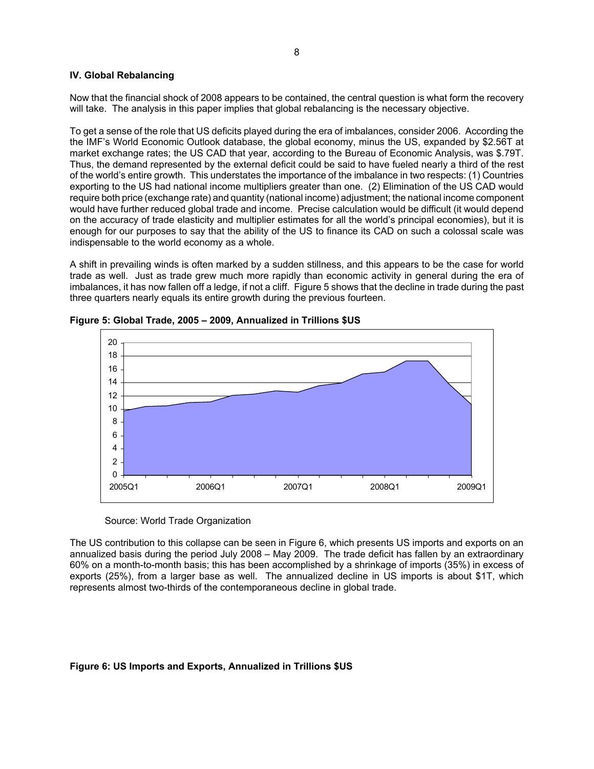# **IV. Global Rebalancing**

Now that the financial shock of 2008 appears to be contained, the central question is what form the recovery will take. The analysis in this paper implies that global rebalancing is the necessary objective.

To get a sense of the role that US deficits played during the era of imbalances, consider 2006. According the the IMF's World Economic Outlook database, the global economy, minus the US, expanded by \$2.56T at market exchange rates; the US CAD that year, according to the Bureau of Economic Analysis, was \$.79T. Thus, the demand represented by the external deficit could be said to have fueled nearly a third of the rest of the world's entire growth. This understates the importance of the imbalance in two respects: (1) Countries exporting to the US had national income multipliers greater than one. (2) Elimination of the US CAD would require both price (exchange rate) and quantity (national income) adjustment; the national income component would have further reduced global trade and income. Precise calculation would be difficult (it would depend on the accuracy of trade elasticity and multiplier estimates for all the world's principal economies), but it is enough for our purposes to say that the ability of the US to finance its CAD on such a colossal scale was indispensable to the world economy as a whole.

A shift in prevailing winds is often marked by a sudden stillness, and this appears to be the case for world trade as well. Just as trade grew much more rapidly than economic activity in general during the era of imbalances, it has now fallen off a ledge, if not a cliff. Figure 5 shows that the decline in trade during the past three quarters nearly equals its entire growth during the previous fourteen.



**Figure 5: Global Trade, 2005 – 2009, Annualized in Trillions \$US**

Source: World Trade Organization

The US contribution to this collapse can be seen in Figure 6, which presents US imports and exports on an annualized basis during the period July 2008 – May 2009. The trade deficit has fallen by an extraordinary 60% on a month-to-month basis; this has been accomplished by a shrinkage of imports (35%) in excess of exports (25%), from a larger base as well. The annualized decline in US imports is about \$1T, which represents almost two-thirds of the contemporaneous decline in global trade.

# **Figure 6: US Imports and Exports, Annualized in Trillions \$US**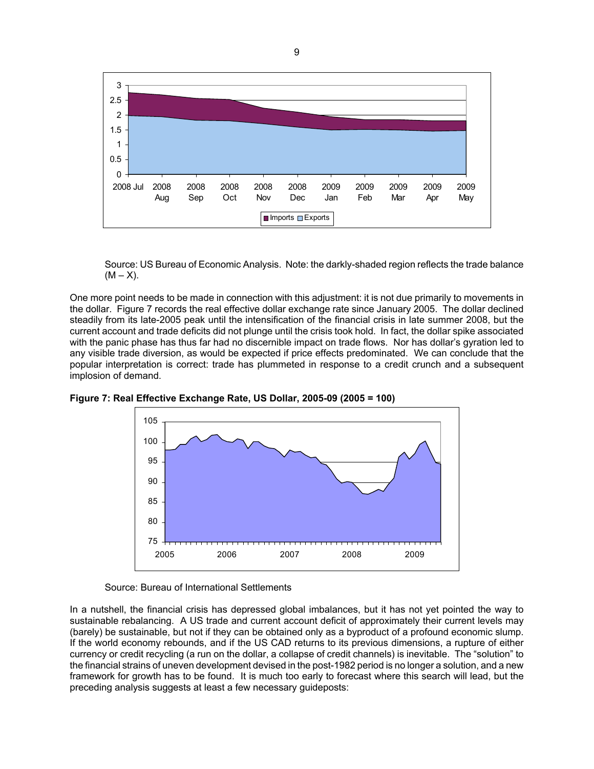

Source: US Bureau of Economic Analysis. Note: the darkly-shaded region reflects the trade balance  $(M - X)$ .

One more point needs to be made in connection with this adjustment: it is not due primarily to movements in the dollar. Figure 7 records the real effective dollar exchange rate since January 2005. The dollar declined steadily from its late-2005 peak until the intensification of the financial crisis in late summer 2008, but the current account and trade deficits did not plunge until the crisis took hold. In fact, the dollar spike associated with the panic phase has thus far had no discernible impact on trade flows. Nor has dollar's gyration led to any visible trade diversion, as would be expected if price effects predominated. We can conclude that the popular interpretation is correct: trade has plummeted in response to a credit crunch and a subsequent implosion of demand.



**Figure 7: Real Effective Exchange Rate, US Dollar, 2005-09 (2005 = 100)**

Source: Bureau of International Settlements

In a nutshell, the financial crisis has depressed global imbalances, but it has not yet pointed the way to sustainable rebalancing. A US trade and current account deficit of approximately their current levels may (barely) be sustainable, but not if they can be obtained only as a byproduct of a profound economic slump. If the world economy rebounds, and if the US CAD returns to its previous dimensions, a rupture of either currency or credit recycling (a run on the dollar, a collapse of credit channels) is inevitable. The "solution" to the financial strains of uneven development devised in the post-1982 period is no longer a solution, and a new framework for growth has to be found. It is much too early to forecast where this search will lead, but the preceding analysis suggests at least a few necessary guideposts: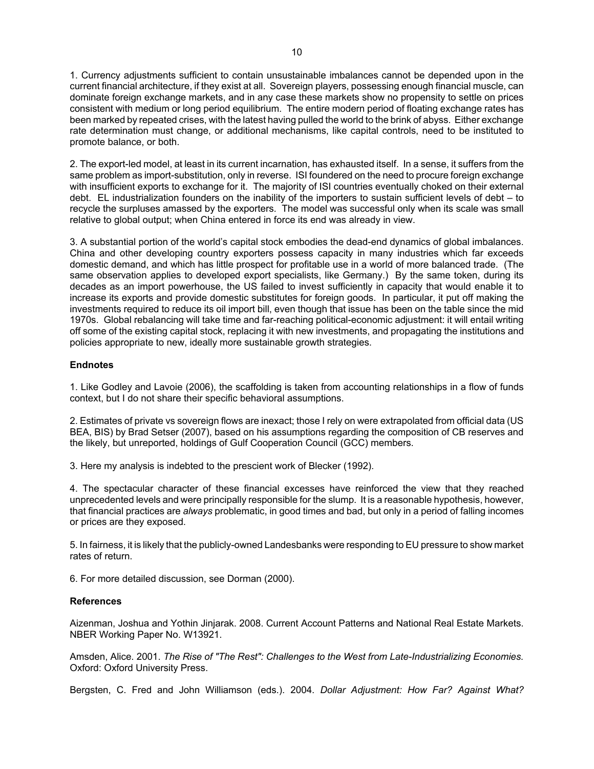1. Currency adjustments sufficient to contain unsustainable imbalances cannot be depended upon in the current financial architecture, if they exist at all. Sovereign players, possessing enough financial muscle, can dominate foreign exchange markets, and in any case these markets show no propensity to settle on prices consistent with medium or long period equilibrium. The entire modern period of floating exchange rates has been marked by repeated crises, with the latest having pulled the world to the brink of abyss. Either exchange rate determination must change, or additional mechanisms, like capital controls, need to be instituted to promote balance, or both.

2. The export-led model, at least in its current incarnation, has exhausted itself. In a sense, it suffers from the same problem as import-substitution, only in reverse. ISI foundered on the need to procure foreign exchange with insufficient exports to exchange for it. The majority of ISI countries eventually choked on their external debt. EL industrialization founders on the inability of the importers to sustain sufficient levels of debt – to recycle the surpluses amassed by the exporters. The model was successful only when its scale was small relative to global output; when China entered in force its end was already in view.

3. A substantial portion of the world's capital stock embodies the dead-end dynamics of global imbalances. China and other developing country exporters possess capacity in many industries which far exceeds domestic demand, and which has little prospect for profitable use in a world of more balanced trade. (The same observation applies to developed export specialists, like Germany.) By the same token, during its decades as an import powerhouse, the US failed to invest sufficiently in capacity that would enable it to increase its exports and provide domestic substitutes for foreign goods. In particular, it put off making the investments required to reduce its oil import bill, even though that issue has been on the table since the mid 1970s. Global rebalancing will take time and far-reaching political-economic adjustment: it will entail writing off some of the existing capital stock, replacing it with new investments, and propagating the institutions and policies appropriate to new, ideally more sustainable growth strategies.

# **Endnotes**

1. Like Godley and Lavoie (2006), the scaffolding is taken from accounting relationships in a flow of funds context, but I do not share their specific behavioral assumptions.

2. Estimates of private vs sovereign flows are inexact; those I rely on were extrapolated from official data (US BEA, BIS) by Brad Setser (2007), based on his assumptions regarding the composition of CB reserves and the likely, but unreported, holdings of Gulf Cooperation Council (GCC) members.

3. Here my analysis is indebted to the prescient work of Blecker (1992).

4. The spectacular character of these financial excesses have reinforced the view that they reached unprecedented levels and were principally responsible for the slump. It is a reasonable hypothesis, however, that financial practices are *always* problematic, in good times and bad, but only in a period of falling incomes or prices are they exposed.

5. In fairness, it is likely that the publicly-owned Landesbanks were responding to EU pressure to show market rates of return.

6. For more detailed discussion, see Dorman (2000).

# **References**

Aizenman, Joshua and Yothin Jinjarak. 2008. Current Account Patterns and National Real Estate Markets. NBER Working Paper No. W13921.

Amsden, Alice. 2001. *The Rise of "The Rest": Challenges to the West from Late-Industrializing Economies.* Oxford: Oxford University Press.

Bergsten, C. Fred and John Williamson (eds.). 2004. *Dollar Adjustment: How Far? Against What?*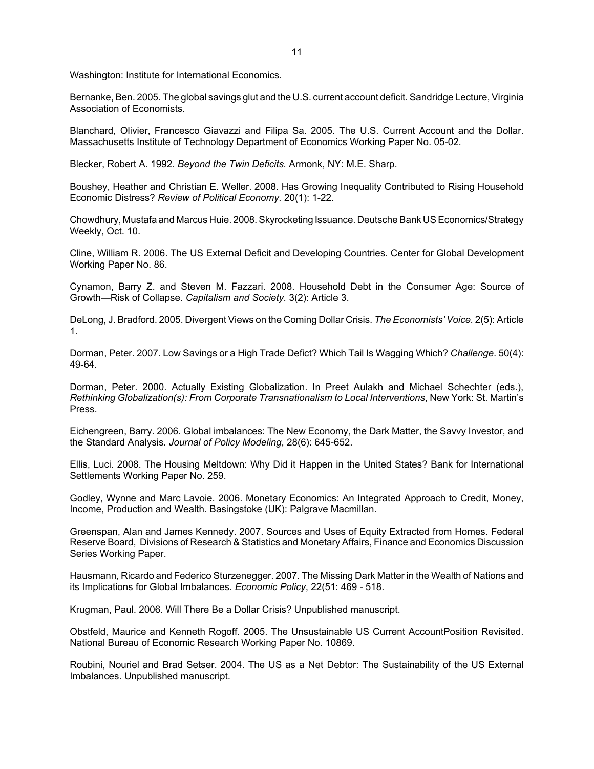Washington: Institute for International Economics.

Bernanke, Ben. 2005. The global savings glut and the U.S. current account deficit. Sandridge Lecture, Virginia Association of Economists.

Blanchard, Olivier, Francesco Giavazzi and Filipa Sa. 2005. The U.S. Current Account and the Dollar. Massachusetts Institute of Technology Department of Economics Working Paper No. 05-02.

Blecker, Robert A. 1992. *Beyond the Twin Deficits.* Armonk, NY: M.E. Sharp.

Boushey, Heather and Christian E. Weller. 2008. Has Growing Inequality Contributed to Rising Household Economic Distress? *Review of Political Economy.* 20(1): 1-22.

Chowdhury, Mustafa and Marcus Huie. 2008. Skyrocketing Issuance. Deutsche Bank US Economics/Strategy Weekly, Oct. 10.

Cline, William R. 2006. The US External Deficit and Developing Countries. Center for Global Development Working Paper No. 86.

Cynamon, Barry Z. and Steven M. Fazzari. 2008. Household Debt in the Consumer Age: Source of Growth—Risk of Collapse. *Capitalism and Society.* 3(2): Article 3.

DeLong, J. Bradford. 2005. Divergent Views on the Coming Dollar Crisis. *The Economists' Voice.* 2(5): Article 1.

Dorman, Peter. 2007. Low Savings or a High Trade Defict? Which Tail Is Wagging Which? *Challenge*. 50(4): 49-64.

Dorman, Peter. 2000. Actually Existing Globalization. In Preet Aulakh and Michael Schechter (eds.), *Rethinking Globalization(s): From Corporate Transnationalism to Local Interventions*, New York: St. Martin's Press.

Eichengreen, Barry. 2006. Global imbalances: The New Economy, the Dark Matter, the Savvy Investor, and the Standard Analysis. *Journal of Policy Modeling*, 28(6): 645-652.

Ellis, Luci. 2008. The Housing Meltdown: Why Did it Happen in the United States? Bank for International Settlements Working Paper No. 259.

Godley, Wynne and Marc Lavoie. 2006. Monetary Economics: An Integrated Approach to Credit, Money, Income, Production and Wealth. Basingstoke (UK): Palgrave Macmillan.

Greenspan, Alan and James Kennedy. 2007. Sources and Uses of Equity Extracted from Homes. Federal Reserve Board, Divisions of Research & Statistics and Monetary Affairs, Finance and Economics Discussion Series Working Paper.

Hausmann, Ricardo and Federico Sturzenegger. 2007. The Missing Dark Matter in the Wealth of Nations and its Implications for Global Imbalances. *Economic Policy*, 22(51: 469 - 518.

Krugman, Paul. 2006. Will There Be a Dollar Crisis? Unpublished manuscript.

Obstfeld, Maurice and Kenneth Rogoff. 2005. The Unsustainable US Current AccountPosition Revisited. National Bureau of Economic Research Working Paper No. 10869.

Roubini, Nouriel and Brad Setser. 2004. The US as a Net Debtor: The Sustainability of the US External Imbalances. Unpublished manuscript.